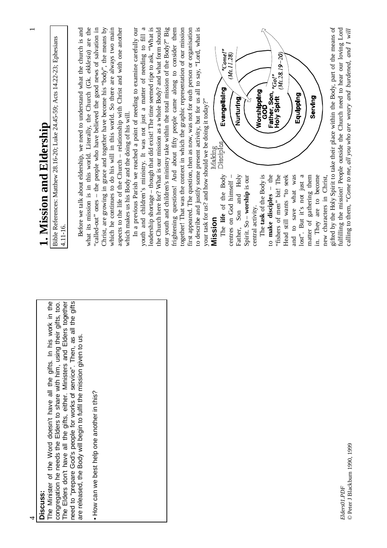| Discuss:                                                                                                                                                                                                                             | 1. Mission and Eldership                                                                                                                                           |
|--------------------------------------------------------------------------------------------------------------------------------------------------------------------------------------------------------------------------------------|--------------------------------------------------------------------------------------------------------------------------------------------------------------------|
| The Minister of the Word doesn't have all the gifts. In his work in the<br>congregation he needs the Elders to share with him, using their gifts, too.                                                                               | Bible References: Matthew 28.16-20; Luke 24.45-59; Acts 14.22-23; Ephesians<br>4.11-16.                                                                            |
| The Elders don't have all the gifts, either. Ministers and Elders together<br>gifts<br>need to "prepare God's people for works of service". Then, as all the<br>are released, the Body will begin to fulfil the mission given to us. |                                                                                                                                                                    |
|                                                                                                                                                                                                                                      | Before we talk about eldership, we need to understand what the church is and<br>what its mission is in this world. Literally, the Church (Gk. ekklesia) are the    |
| • How can we best help one another in this?                                                                                                                                                                                          | "called-out" ones - the people who have believed the good news of salvation in                                                                                     |
|                                                                                                                                                                                                                                      | Christ, are growing in grace and together have become his "body", the means by<br>which he continues to do his will in this world. So there are always two main    |
|                                                                                                                                                                                                                                      | aspects to the life of the Church - relationship with Christ and with one another                                                                                  |
|                                                                                                                                                                                                                                      | which makes us his Body and the doing of his will.                                                                                                                 |
|                                                                                                                                                                                                                                      | In a previous Parish we reached a point of needing to examine carefully our                                                                                        |
|                                                                                                                                                                                                                                      | leadership shortage - though that did exist! The time seemed ripe to ask, "What is<br>youth and children's ministry. It was not just a matter of needing to fill a |
|                                                                                                                                                                                                                                      | the Church here for? What is our mission as a whole Body? and what form should                                                                                     |
|                                                                                                                                                                                                                                      | our youth and children's ministry take within the total mission of the Body?" Big                                                                                  |
|                                                                                                                                                                                                                                      | frightening questions! And about fifty people came along to consider them                                                                                          |
|                                                                                                                                                                                                                                      | together! That was the context in which the graphic representation of our mission                                                                                  |
|                                                                                                                                                                                                                                      | first appeared. The question, then as now, was not for each person or organisation                                                                                 |
|                                                                                                                                                                                                                                      | to describe and justify some present activity, but for us all to say, "Lord, what is                                                                               |
|                                                                                                                                                                                                                                      | your task for us? and how should we be doing it today?"                                                                                                            |
|                                                                                                                                                                                                                                      | Making<br>Mission                                                                                                                                                  |
|                                                                                                                                                                                                                                      | "Come!"<br>Evangelising<br>Disciples<br>The life of the Body                                                                                                       |
|                                                                                                                                                                                                                                      | (Mt.11.28)<br>centres on God himself -                                                                                                                             |
|                                                                                                                                                                                                                                      | Nurturing<br>Father, Son and Holy                                                                                                                                  |
|                                                                                                                                                                                                                                      | Spirit. So - worship is our                                                                                                                                        |
|                                                                                                                                                                                                                                      | central activity.                                                                                                                                                  |
|                                                                                                                                                                                                                                      | Worshipping<br>GOD<br>The task of the Body is                                                                                                                      |
|                                                                                                                                                                                                                                      | Father, Son, "Go!"<br>Holy Spirit (Mr.25<br>to make disciples - the                                                                                                |
|                                                                                                                                                                                                                                      | $(Mt. 28.19 - 20)$<br>"fishers of men" bit! The                                                                                                                    |
|                                                                                                                                                                                                                                      | Head still wants "to seek                                                                                                                                          |
|                                                                                                                                                                                                                                      | Equipping<br>and to save what was                                                                                                                                  |
|                                                                                                                                                                                                                                      | lost". But it's not just a                                                                                                                                         |
|                                                                                                                                                                                                                                      | Serving<br>matter of gathering them                                                                                                                                |
|                                                                                                                                                                                                                                      | in. They are to become                                                                                                                                             |
|                                                                                                                                                                                                                                      | new characters in Christ,                                                                                                                                          |

gifted by the Holy Spirit to take their place within the Body, part of the means of fulfilling the mission! People outside the Church need to hear our loving Lord gifted by the Holy Spirit to take their place within the Body, part of the means of fulfilling the mission! People outside the Church need to hear our loving Lord calling to them, "Come to me, all you who are weary and burdened, and I will calling to them, *"Come to me, all you who are weary and burdened, and I will*new characters in Christ,

> *Elders01.PDF* © Peter J Blackburn 1990, 1999